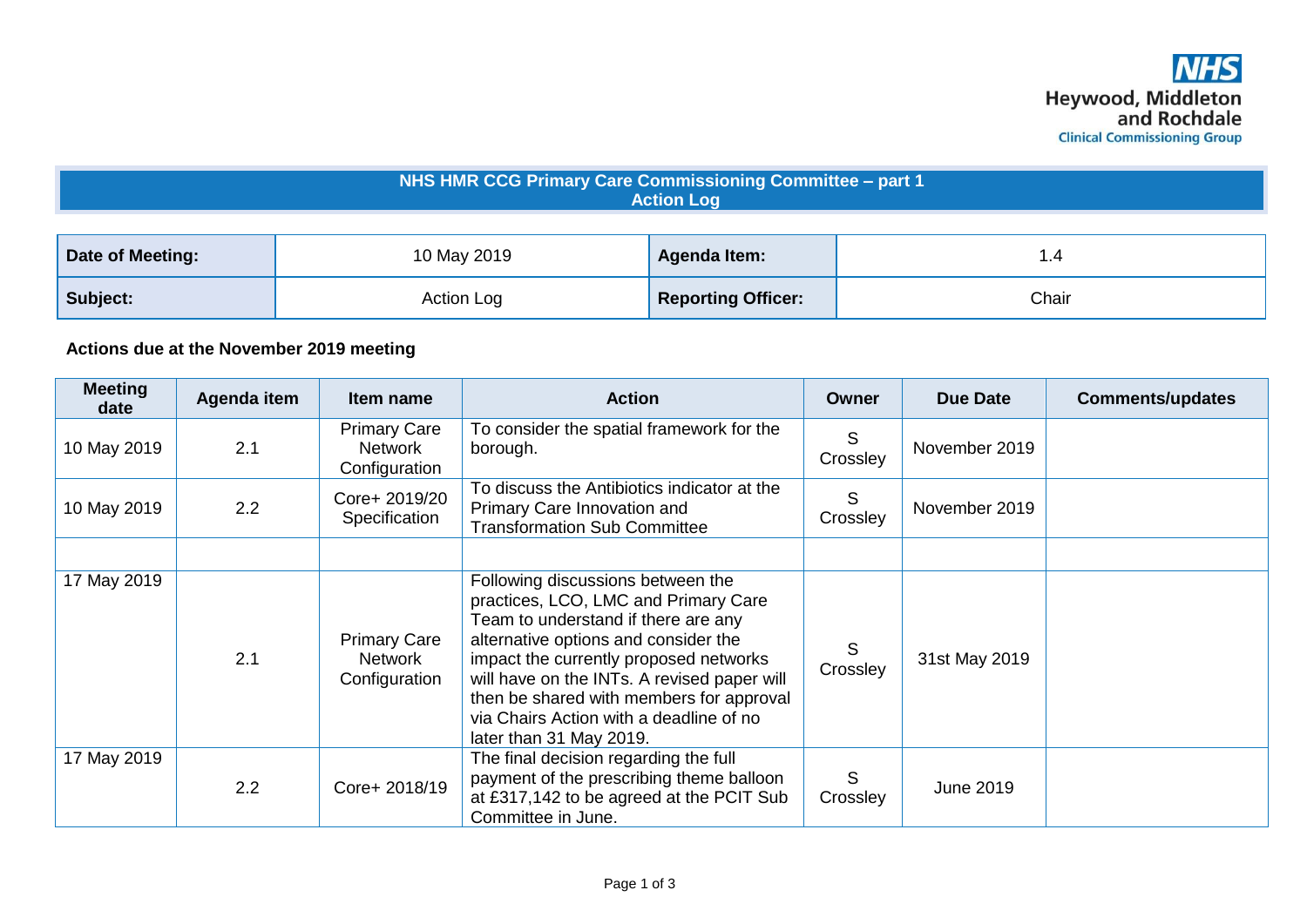| NHS HMR CCG Primary Care Commissioning Committee - part 1<br><b>Action Log</b> |             |                           |       |  |  |  |
|--------------------------------------------------------------------------------|-------------|---------------------------|-------|--|--|--|
| Date of Meeting:                                                               | 10 May 2019 | <b>Agenda Item:</b>       | 1.4   |  |  |  |
| Subject:                                                                       | Action Log  | <b>Reporting Officer:</b> | Chair |  |  |  |

## **Actions due at the November 2019 meeting**

| <b>Meeting</b><br>date | Agenda item | Item name                                       | <b>Action</b>                                                                                                                                                                                                                                                                                                                                                       | Owner         | <b>Due Date</b>  | <b>Comments/updates</b> |
|------------------------|-------------|-------------------------------------------------|---------------------------------------------------------------------------------------------------------------------------------------------------------------------------------------------------------------------------------------------------------------------------------------------------------------------------------------------------------------------|---------------|------------------|-------------------------|
| 10 May 2019            | 2.1         | <b>Primary Care</b><br>Network<br>Configuration | To consider the spatial framework for the<br>borough.                                                                                                                                                                                                                                                                                                               | S<br>Crossley | November 2019    |                         |
| 10 May 2019            | 2.2         | Core+ 2019/20<br>Specification                  | To discuss the Antibiotics indicator at the<br>Primary Care Innovation and<br><b>Transformation Sub Committee</b>                                                                                                                                                                                                                                                   | S<br>Crossley | November 2019    |                         |
|                        |             |                                                 |                                                                                                                                                                                                                                                                                                                                                                     |               |                  |                         |
| 17 May 2019            | 2.1         | <b>Primary Care</b><br>Network<br>Configuration | Following discussions between the<br>practices, LCO, LMC and Primary Care<br>Team to understand if there are any<br>alternative options and consider the<br>impact the currently proposed networks<br>will have on the INTs. A revised paper will<br>then be shared with members for approval<br>via Chairs Action with a deadline of no<br>later than 31 May 2019. | S<br>Crossley | 31st May 2019    |                         |
| 17 May 2019            | 2.2         | Core+ 2018/19                                   | The final decision regarding the full<br>payment of the prescribing theme balloon<br>at £317,142 to be agreed at the PCIT Sub<br>Committee in June.                                                                                                                                                                                                                 | S<br>Crossley | <b>June 2019</b> |                         |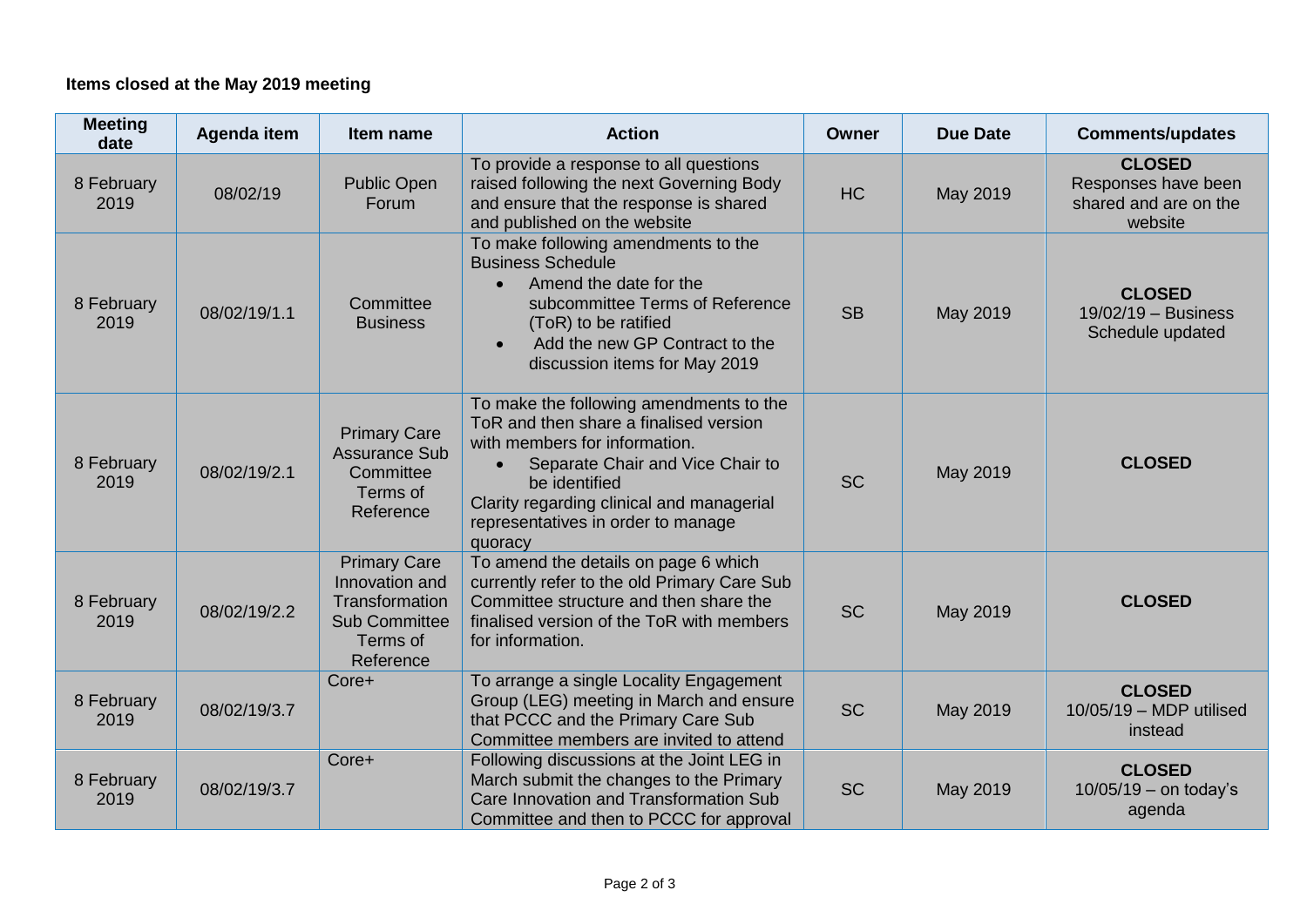## **Items closed at the May 2019 meeting**

| <b>Meeting</b><br>date | Agenda item  | Item name                                                                                                | <b>Action</b>                                                                                                                                                                                                                                                         | <b>Owner</b> | <b>Due Date</b> | <b>Comments/updates</b>                                                  |
|------------------------|--------------|----------------------------------------------------------------------------------------------------------|-----------------------------------------------------------------------------------------------------------------------------------------------------------------------------------------------------------------------------------------------------------------------|--------------|-----------------|--------------------------------------------------------------------------|
| 8 February<br>2019     | 08/02/19     | <b>Public Open</b><br>Forum                                                                              | To provide a response to all questions<br>raised following the next Governing Body<br>and ensure that the response is shared<br>and published on the website                                                                                                          | <b>HC</b>    | May 2019        | <b>CLOSED</b><br>Responses have been<br>shared and are on the<br>website |
| 8 February<br>2019     | 08/02/19/1.1 | Committee<br><b>Business</b>                                                                             | To make following amendments to the<br><b>Business Schedule</b><br>Amend the date for the<br>$\bullet$<br>subcommittee Terms of Reference<br>(ToR) to be ratified<br>Add the new GP Contract to the<br>$\bullet$<br>discussion items for May 2019                     | <b>SB</b>    | May 2019        | <b>CLOSED</b><br>$19/02/19 - Business$<br>Schedule updated               |
| 8 February<br>2019     | 08/02/19/2.1 | <b>Primary Care</b><br><b>Assurance Sub</b><br>Committee<br>Terms of<br>Reference                        | To make the following amendments to the<br>ToR and then share a finalised version<br>with members for information.<br>Separate Chair and Vice Chair to<br>be identified<br>Clarity regarding clinical and managerial<br>representatives in order to manage<br>quoracy | <b>SC</b>    | May 2019        | <b>CLOSED</b>                                                            |
| 8 February<br>2019     | 08/02/19/2.2 | <b>Primary Care</b><br>Innovation and<br>Transformation<br><b>Sub Committee</b><br>Terms of<br>Reference | To amend the details on page 6 which<br>currently refer to the old Primary Care Sub<br>Committee structure and then share the<br>finalised version of the ToR with members<br>for information.                                                                        | <b>SC</b>    | May 2019        | <b>CLOSED</b>                                                            |
| 8 February<br>2019     | 08/02/19/3.7 | Core+                                                                                                    | To arrange a single Locality Engagement<br>Group (LEG) meeting in March and ensure<br>that PCCC and the Primary Care Sub<br>Committee members are invited to attend                                                                                                   | <b>SC</b>    | May 2019        | <b>CLOSED</b><br>10/05/19 - MDP utilised<br>instead                      |
| 8 February<br>2019     | 08/02/19/3.7 | Core+                                                                                                    | Following discussions at the Joint LEG in<br>March submit the changes to the Primary<br>Care Innovation and Transformation Sub<br>Committee and then to PCCC for approval                                                                                             | <b>SC</b>    | May 2019        | <b>CLOSED</b><br>$10/05/19 -$ on today's<br>agenda                       |